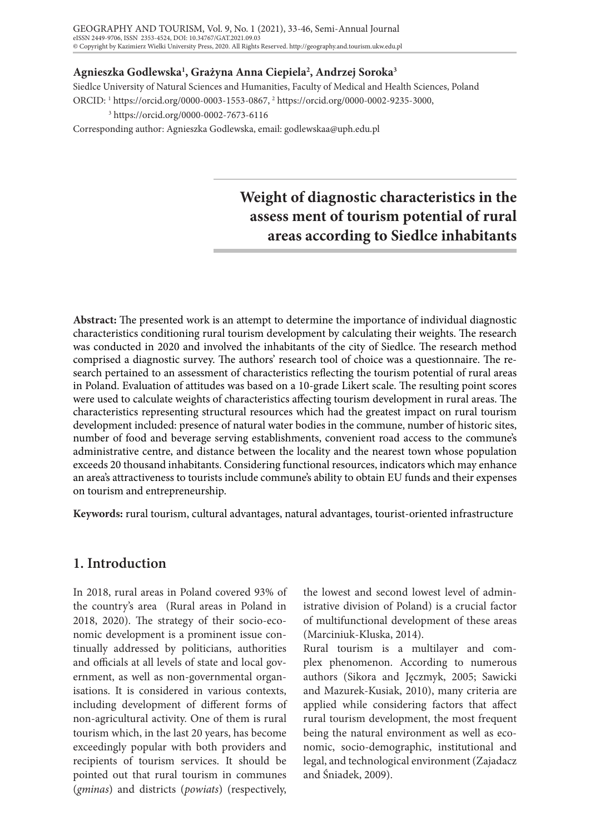### **Agnieszka Godlewska1 , Grażyna Anna Ciepiela2 , Andrzej Soroka3**

Siedlce University of Natural Sciences and Humanities, Faculty of Medical and Health Sciences, Poland ORCID: 1 https://orcid.org/0000-0003-1553-0867, 2 https://orcid.org/0000-0002-9235-3000,

3 https://orcid.org/0000-0002-7673-6116

Corresponding author: Agnieszka Godlewska, email: godlewskaa@uph.edu.pl

# **Weight of diagnostic characteristics in the assess ment of tourism potential of rural areas according to Siedlce inhabitants**

**Abstract:** The presented work is an attempt to determine the importance of individual diagnostic characteristics conditioning rural tourism development by calculating their weights. The research was conducted in 2020 and involved the inhabitants of the city of Siedlce. The research method comprised a diagnostic survey. The authors' research tool of choice was a questionnaire. The research pertained to an assessment of characteristics reflecting the tourism potential of rural areas in Poland. Evaluation of attitudes was based on a 10-grade Likert scale. The resulting point scores were used to calculate weights of characteristics affecting tourism development in rural areas. The characteristics representing structural resources which had the greatest impact on rural tourism development included: presence of natural water bodies in the commune, number of historic sites, number of food and beverage serving establishments, convenient road access to the commune's administrative centre, and distance between the locality and the nearest town whose population exceeds 20 thousand inhabitants. Considering functional resources, indicators which may enhance an area's attractiveness to tourists include commune's ability to obtain EU funds and their expenses on tourism and entrepreneurship.

**Keywords:** rural tourism, cultural advantages, natural advantages, tourist-oriented infrastructure

# **1. Introduction**

In 2018, rural areas in Poland covered 93% of the country's area (Rural areas in Poland in 2018, 2020). The strategy of their socio-economic development is a prominent issue continually addressed by politicians, authorities and officials at all levels of state and local government, as well as non-governmental organisations. It is considered in various contexts, including development of different forms of non-agricultural activity. One of them is rural tourism which, in the last 20 years, has become exceedingly popular with both providers and recipients of tourism services. It should be pointed out that rural tourism in communes (*gminas*) and districts (*powiats*) (respectively,

the lowest and second lowest level of administrative division of Poland) is a crucial factor of multifunctional development of these areas (Marciniuk-Kluska, 2014).

Rural tourism is a multilayer and complex phenomenon. According to numerous authors (Sikora and Jęczmyk, 2005; Sawicki and Mazurek-Kusiak, 2010), many criteria are applied while considering factors that affect rural tourism development, the most frequent being the natural environment as well as economic, socio-demographic, institutional and legal, and technological environment (Zajadacz and Śniadek, 2009).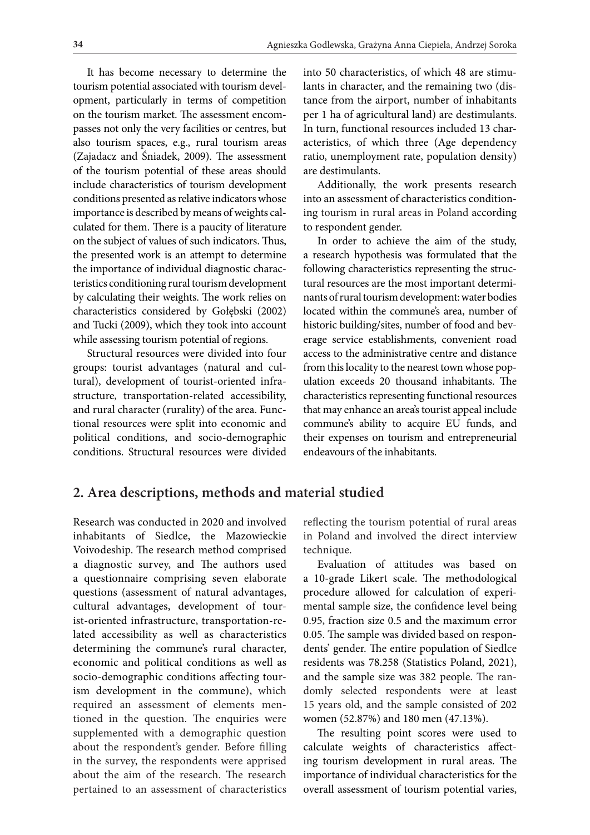It has become necessary to determine the tourism potential associated with tourism development, particularly in terms of competition on the tourism market. The assessment encompasses not only the very facilities or centres, but also tourism spaces, e.g., rural tourism areas (Zajadacz and Śniadek, 2009). The assessment of the tourism potential of these areas should include characteristics of tourism development conditions presented as relative indicators whose importance is described by means of weights calculated for them. There is a paucity of literature on the subject of values of such indicators. Thus, the presented work is an attempt to determine the importance of individual diagnostic characteristics conditioning rural tourism development by calculating their weights. The work relies on characteristics considered by Gołębski (2002) and Tucki (2009), which they took into account while assessing tourism potential of regions.

Structural resources were divided into four groups: tourist advantages (natural and cultural), development of tourist-oriented infrastructure, transportation-related accessibility, and rural character (rurality) of the area. Functional resources were split into economic and political conditions, and socio-demographic conditions. Structural resources were divided into 50 characteristics, of which 48 are stimulants in character, and the remaining two (distance from the airport, number of inhabitants per 1 ha of agricultural land) are destimulants. In turn, functional resources included 13 characteristics, of which three (Age dependency ratio, unemployment rate, population density) are destimulants.

Additionally, the work presents research into an assessment of characteristics conditioning tourism in rural areas in Poland according to respondent gender.

In order to achieve the aim of the study, a research hypothesis was formulated that the following characteristics representing the structural resources are the most important determinants of rural tourism development: water bodies located within the commune's area, number of historic building/sites, number of food and beverage service establishments, convenient road access to the administrative centre and distance from this locality to the nearest town whose population exceeds 20 thousand inhabitants. The characteristics representing functional resources that may enhance an area's tourist appeal include commune's ability to acquire EU funds, and their expenses on tourism and entrepreneurial endeavours of the inhabitants.

# **2. Area descriptions, methods and material studied**

Research was conducted in 2020 and involved inhabitants of Siedlce, the Mazowieckie Voivodeship. The research method comprised a diagnostic survey, and The authors used a questionnaire comprising seven elaborate questions (assessment of natural advantages, cultural advantages, development of tourist-oriented infrastructure, transportation-related accessibility as well as characteristics determining the commune's rural character, economic and political conditions as well as socio-demographic conditions affecting tourism development in the commune), which required an assessment of elements mentioned in the question. The enquiries were supplemented with a demographic question about the respondent's gender. Before filling in the survey, the respondents were apprised about the aim of the research. The research pertained to an assessment of characteristics

reflecting the tourism potential of rural areas in Poland and involved the direct interview technique.

Evaluation of attitudes was based on a 10-grade Likert scale. The methodological procedure allowed for calculation of experimental sample size, the confidence level being 0.95, fraction size 0.5 and the maximum error 0.05. The sample was divided based on respondents' gender. The entire population of Siedlce residents was 78.258 (Statistics Poland, 2021), and the sample size was 382 people. The randomly selected respondents were at least 15 years old, and the sample consisted of 202 women (52.87%) and 180 men (47.13%).

The resulting point scores were used to calculate weights of characteristics affecting tourism development in rural areas. The importance of individual characteristics for the overall assessment of tourism potential varies,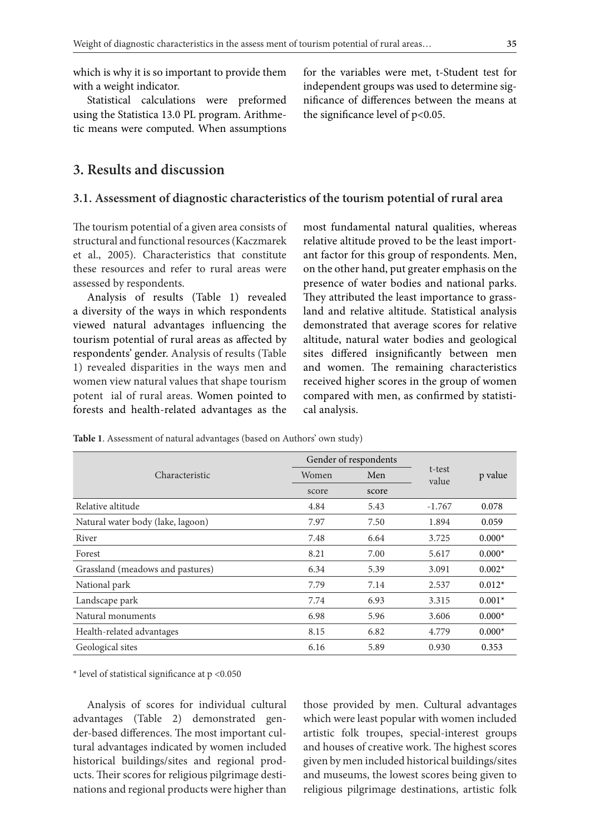which is why it is so important to provide them with a weight indicator.

Statistical calculations were preformed using the Statistica 13.0 PL program. Arithmetic means were computed. When assumptions

**3. Results and discussion** 

#### **3.1. Assessment of diagnostic characteristics of the tourism potential of rural area**

The tourism potential of a given area consists of structural and functional resources (Kaczmarek et al., 2005). Characteristics that constitute these resources and refer to rural areas were assessed by respondents.

Analysis of results (Table 1) revealed a diversity of the ways in which respondents viewed natural advantages influencing the tourism potential of rural areas as affected by respondents' gender. Analysis of results (Table 1) revealed disparities in the ways men and women view natural values that shape tourism potent ial of rural areas. Women pointed to forests and health-related advantages as the

most fundamental natural qualities, whereas relative altitude proved to be the least important factor for this group of respondents. Men, on the other hand, put greater emphasis on the presence of water bodies and national parks. They attributed the least importance to grassland and relative altitude. Statistical analysis demonstrated that average scores for relative altitude, natural water bodies and geological sites differed insignificantly between men and women. The remaining characteristics received higher scores in the group of women compared with men, as confirmed by statistical analysis.

**Table 1**. Assessment of natural advantages (based on Authors' own study)

|                                   | Gender of respondents |       |                 |          |
|-----------------------------------|-----------------------|-------|-----------------|----------|
| Characteristic                    | Women                 | Men   | t-test<br>value | p value  |
|                                   | score                 | score |                 |          |
| Relative altitude                 | 4.84                  | 5.43  | $-1.767$        | 0.078    |
| Natural water body (lake, lagoon) | 7.97                  | 7.50  | 1.894           | 0.059    |
| River                             | 7.48                  | 6.64  | 3.725           | $0.000*$ |
| Forest                            | 8.21                  | 7.00  | 5.617           | $0.000*$ |
| Grassland (meadows and pastures)  | 6.34                  | 5.39  | 3.091           | $0.002*$ |
| National park                     | 7.79                  | 7.14  | 2.537           | $0.012*$ |
| Landscape park                    | 7.74                  | 6.93  | 3.315           | $0.001*$ |
| Natural monuments                 | 6.98                  | 5.96  | 3.606           | $0.000*$ |
| Health-related advantages         | 8.15                  | 6.82  | 4.779           | $0.000*$ |
| Geological sites                  | 6.16                  | 5.89  | 0.930           | 0.353    |

\* level of statistical significance at p <0.050

Analysis of scores for individual cultural advantages (Table 2) demonstrated gender-based differences. The most important cultural advantages indicated by women included historical buildings/sites and regional products. Their scores for religious pilgrimage destinations and regional products were higher than

those provided by men. Cultural advantages which were least popular with women included artistic folk troupes, special-interest groups and houses of creative work. The highest scores given by men included historical buildings/sites and museums, the lowest scores being given to religious pilgrimage destinations, artistic folk

for the variables were met, t-Student test for independent groups was used to determine significance of differences between the means at the significance level of p<0.05.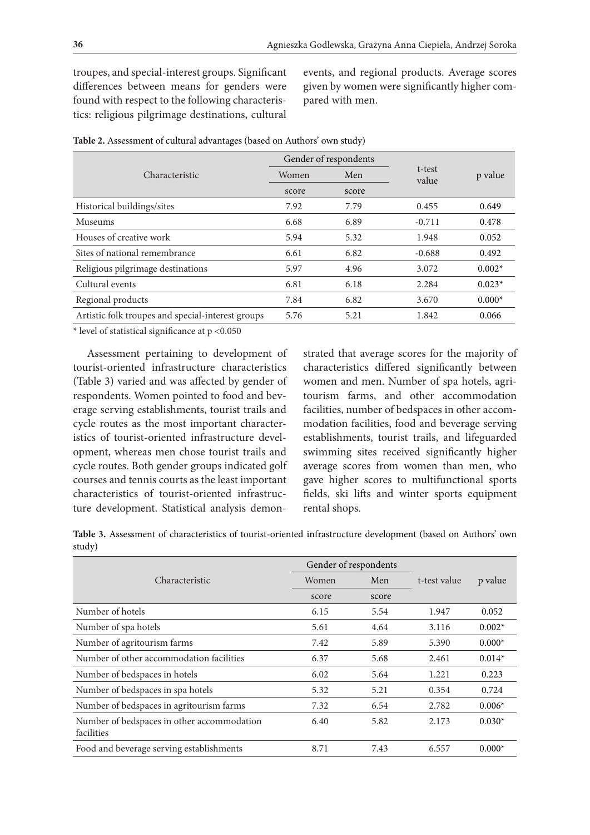troupes, and special-interest groups. Significant differences between means for genders were found with respect to the following characteristics: religious pilgrimage destinations, cultural events, and regional products. Average scores given by women were significantly higher compared with men.

|                                                   |                | Gender of respondents |                 |          |  |
|---------------------------------------------------|----------------|-----------------------|-----------------|----------|--|
| Characteristic                                    | Women          | Men                   | t-test<br>value | p value  |  |
|                                                   | score<br>score |                       |                 |          |  |
| Historical buildings/sites                        | 7.92           | 7.79                  | 0.455           | 0.649    |  |
| Museums                                           | 6.68           | 6.89                  | $-0.711$        | 0.478    |  |
| Houses of creative work                           | 5.94           | 5.32                  | 1.948           | 0.052    |  |
| Sites of national remembrance                     | 6.61           | 6.82                  | $-0.688$        | 0.492    |  |
| Religious pilgrimage destinations                 | 5.97           | 4.96                  | 3.072           | $0.002*$ |  |
| Cultural events                                   | 6.81           | 6.18                  | 2.284           | $0.023*$ |  |
| Regional products                                 | 7.84           | 6.82                  | 3.670           | $0.000*$ |  |
| Artistic folk troupes and special-interest groups | 5.76           | 5.21                  | 1.842           | 0.066    |  |

**Table 2.** Assessment of cultural advantages (based on Authors' own study)

\* level of statistical significance at p <0.050

Assessment pertaining to development of tourist-oriented infrastructure characteristics (Table 3) varied and was affected by gender of respondents. Women pointed to food and beverage serving establishments, tourist trails and cycle routes as the most important characteristics of tourist-oriented infrastructure development, whereas men chose tourist trails and cycle routes. Both gender groups indicated golf courses and tennis courts as the least important characteristics of tourist-oriented infrastructure development. Statistical analysis demonstrated that average scores for the majority of characteristics differed significantly between women and men. Number of spa hotels, agritourism farms, and other accommodation facilities, number of bedspaces in other accommodation facilities, food and beverage serving establishments, tourist trails, and lifeguarded swimming sites received significantly higher average scores from women than men, who gave higher scores to multifunctional sports fields, ski lifts and winter sports equipment rental shops.

**Table 3.** Assessment of characteristics of tourist-oriented infrastructure development (based on Authors' own study)

|                                                          | Gender of respondents |       |              |          |
|----------------------------------------------------------|-----------------------|-------|--------------|----------|
| Characteristic                                           | Women                 | Men   | t-test value | p value  |
|                                                          | score                 | score |              |          |
| Number of hotels                                         | 6.15                  | 5.54  | 1.947        | 0.052    |
| Number of spa hotels                                     | 5.61                  | 4.64  | 3.116        | $0.002*$ |
| Number of agritourism farms                              | 7.42                  | 5.89  | 5.390        | $0.000*$ |
| Number of other accommodation facilities                 | 6.37                  | 5.68  | 2.461        | $0.014*$ |
| Number of bedspaces in hotels                            | 6.02                  | 5.64  | 1.221        | 0.223    |
| Number of bedspaces in spa hotels                        | 5.32                  | 5.21  | 0.354        | 0.724    |
| Number of bedspaces in agritourism farms                 | 7.32                  | 6.54  | 2.782        | $0.006*$ |
| Number of bedspaces in other accommodation<br>facilities | 6.40                  | 5.82  | 2.173        | $0.030*$ |
| Food and beverage serving establishments                 | 8.71                  | 7.43  | 6.557        | $0.000*$ |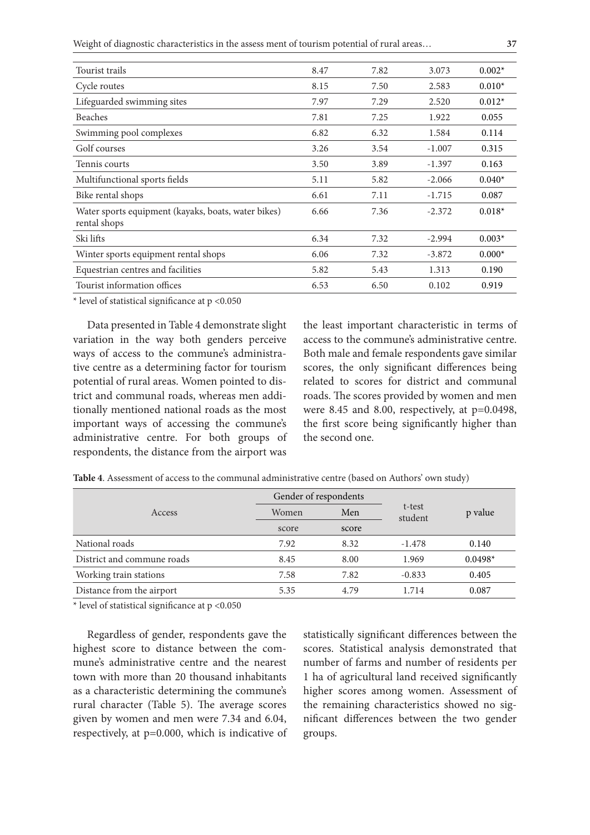Weight of diagnostic characteristics in the assess ment of tourism potential of rural areas… **37**

| Tourist trails                                                      | 8.47 | 7.82 | 3.073    | $0.002*$ |
|---------------------------------------------------------------------|------|------|----------|----------|
| Cycle routes                                                        | 8.15 | 7.50 | 2.583    | $0.010*$ |
| Lifeguarded swimming sites                                          | 7.97 | 7.29 | 2.520    | $0.012*$ |
| <b>Beaches</b>                                                      | 7.81 | 7.25 | 1.922    | 0.055    |
| Swimming pool complexes                                             | 6.82 | 6.32 | 1.584    | 0.114    |
| Golf courses                                                        | 3.26 | 3.54 | $-1.007$ | 0.315    |
| Tennis courts                                                       | 3.50 | 3.89 | $-1.397$ | 0.163    |
| Multifunctional sports fields                                       | 5.11 | 5.82 | $-2.066$ | $0.040*$ |
| Bike rental shops                                                   | 6.61 | 7.11 | $-1.715$ | 0.087    |
| Water sports equipment (kayaks, boats, water bikes)<br>rental shops | 6.66 | 7.36 | $-2.372$ | $0.018*$ |
| Ski lifts                                                           | 6.34 | 7.32 | $-2.994$ | $0.003*$ |
| Winter sports equipment rental shops                                | 6.06 | 7.32 | $-3.872$ | $0.000*$ |
| Equestrian centres and facilities                                   | 5.82 | 5.43 | 1.313    | 0.190    |
| Tourist information offices                                         | 6.53 | 6.50 | 0.102    | 0.919    |

\* level of statistical significance at p <0.050

Data presented in Table 4 demonstrate slight variation in the way both genders perceive ways of access to the commune's administrative centre as a determining factor for tourism potential of rural areas. Women pointed to district and communal roads, whereas men additionally mentioned national roads as the most important ways of accessing the commune's administrative centre. For both groups of respondents, the distance from the airport was

the least important characteristic in terms of access to the commune's administrative centre. Both male and female respondents gave similar scores, the only significant differences being related to scores for district and communal roads. The scores provided by women and men were 8.45 and 8.00, respectively, at p=0.0498, the first score being significantly higher than the second one.

|                            | Gender of respondents |       |                   |           |
|----------------------------|-----------------------|-------|-------------------|-----------|
| Access                     | Women                 | Men   | t-test<br>student | p value   |
|                            | score                 | score |                   |           |
| National roads             | 7.92                  | 8.32  | $-1.478$          | 0.140     |
| District and commune roads | 8.45                  | 8.00  | 1.969             | $0.0498*$ |
| Working train stations     | 7.58                  | 7.82  | $-0.833$          | 0.405     |
| Distance from the airport  | 5.35                  | 4.79  | 1.714             | 0.087     |

**Table 4**. Assessment of access to the communal administrative centre (based on Authors' own study)

\* level of statistical significance at p <0.050

Regardless of gender, respondents gave the highest score to distance between the commune's administrative centre and the nearest town with more than 20 thousand inhabitants as a characteristic determining the commune's rural character (Table 5). The average scores given by women and men were 7.34 and 6.04, respectively, at p=0.000, which is indicative of statistically significant differences between the scores. Statistical analysis demonstrated that number of farms and number of residents per 1 ha of agricultural land received significantly higher scores among women. Assessment of the remaining characteristics showed no significant differences between the two gender groups.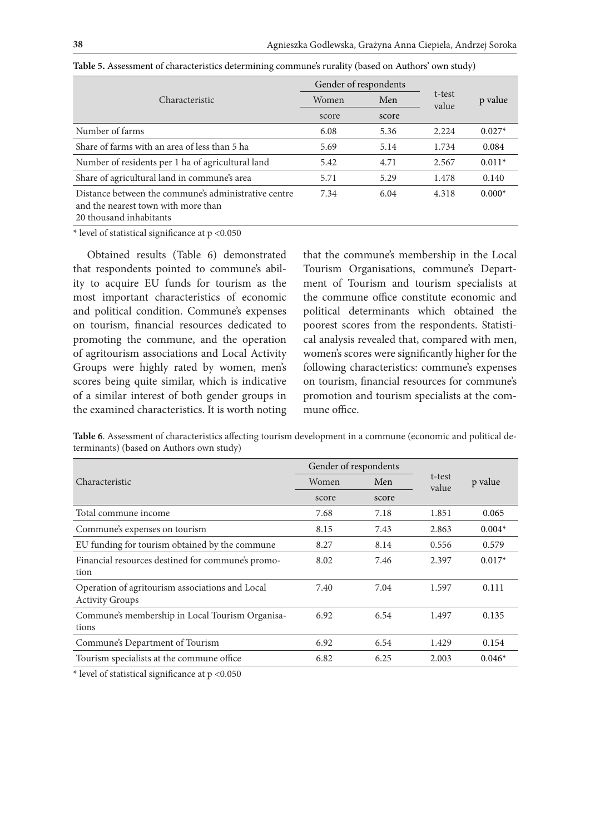|                                                                                                                        |       | Gender of respondents |                 |          |
|------------------------------------------------------------------------------------------------------------------------|-------|-----------------------|-----------------|----------|
| Characteristic                                                                                                         | Women | Men                   | t-test<br>value | p value  |
|                                                                                                                        | score | score                 |                 |          |
| Number of farms                                                                                                        | 6.08  | 5.36                  | 2.224           | $0.027*$ |
| Share of farms with an area of less than 5 has                                                                         | 5.69  | 5.14                  | 1.734           | 0.084    |
| Number of residents per 1 ha of agricultural land                                                                      | 5.42  | 4.71                  | 2.567           | $0.011*$ |
| Share of agricultural land in commune's area                                                                           | 5.71  | 5.29                  | 1.478           | 0.140    |
| Distance between the commune's administrative centre<br>and the nearest town with more than<br>20 thousand inhabitants | 7.34  | 6.04                  | 4.318           | $0.000*$ |

**Table 5.** Assessment of characteristics determining commune's rurality (based on Authors' own study)

\* level of statistical significance at p <0.050

Obtained results (Table 6) demonstrated that respondents pointed to commune's ability to acquire EU funds for tourism as the most important characteristics of economic and political condition. Commune's expenses on tourism, financial resources dedicated to promoting the commune, and the operation of agritourism associations and Local Activity Groups were highly rated by women, men's scores being quite similar, which is indicative of a similar interest of both gender groups in the examined characteristics. It is worth noting

that the commune's membership in the Local Tourism Organisations, commune's Department of Tourism and tourism specialists at the commune office constitute economic and political determinants which obtained the poorest scores from the respondents. Statistical analysis revealed that, compared with men, women's scores were significantly higher for the following characteristics: commune's expenses on tourism, financial resources for commune's promotion and tourism specialists at the commune office.

**Table 6**. Assessment of characteristics affecting tourism development in a commune (economic and political determinants) (based on Authors own study)

| Women | Men   |                       | p value         |  |
|-------|-------|-----------------------|-----------------|--|
| score | score |                       |                 |  |
| 7.68  | 7.18  | 1.851                 | 0.065           |  |
| 8.15  | 7.43  | 2.863                 | $0.004*$        |  |
| 8.27  | 8.14  | 0.556                 | 0.579           |  |
| 8.02  | 7.46  | 2.397                 | $0.017*$        |  |
| 7.40  | 7.04  | 1.597                 | 0.111           |  |
| 6.92  | 6.54  | 1.497                 | 0.135           |  |
| 6.92  | 6.54  | 1.429                 | 0.154           |  |
| 6.82  | 6.25  | 2.003                 | $0.046*$        |  |
|       |       | Gender of respondents | t-test<br>value |  |

\* level of statistical significance at p <0.050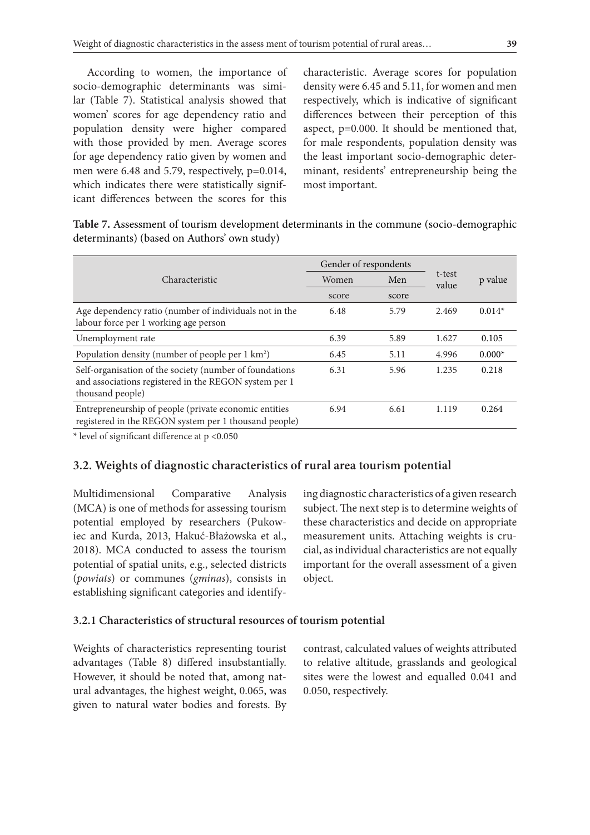According to women, the importance of socio-demographic determinants was similar (Table 7). Statistical analysis showed that women' scores for age dependency ratio and population density were higher compared with those provided by men. Average scores for age dependency ratio given by women and men were 6.48 and 5.79, respectively, p=0.014, which indicates there were statistically significant differences between the scores for this

characteristic. Average scores for population density were 6.45 and 5.11, for women and men respectively, which is indicative of significant differences between their perception of this aspect, p=0.000. It should be mentioned that, for male respondents, population density was the least important socio-demographic determinant, residents' entrepreneurship being the most important.

| Table 7. Assessment of tourism development determinants in the commune (socio-demographic |  |  |  |
|-------------------------------------------------------------------------------------------|--|--|--|
| determinants) (based on Authors' own study)                                               |  |  |  |

|                                                                                                                                      | Gender of respondents |       |                 |          |  |
|--------------------------------------------------------------------------------------------------------------------------------------|-----------------------|-------|-----------------|----------|--|
| Characteristic                                                                                                                       | Women                 | Men   | t-test<br>value | p value  |  |
|                                                                                                                                      | score                 | score |                 |          |  |
| Age dependency ratio (number of individuals not in the<br>labour force per 1 working age person                                      | 6.48                  | 5.79  | 2.469           | $0.014*$ |  |
| Unemployment rate                                                                                                                    | 6.39                  | 5.89  | 1.627           | 0.105    |  |
| Population density (number of people per 1 km <sup>2</sup> )                                                                         | 6.45                  | 5.11  | 4.996           | $0.000*$ |  |
| Self-organisation of the society (number of foundations<br>and associations registered in the REGON system per 1<br>thousand people) | 6.31                  | 5.96  | 1.235           | 0.218    |  |
| Entrepreneurship of people (private economic entities<br>registered in the REGON system per 1 thousand people)                       | 6.94                  | 6.61  | 1.119           | 0.264    |  |

\* level of significant difference at p <0.050

### **3.2. Weights of diagnostic characteristics of rural area tourism potential**

Multidimensional Comparative Analysis (MCA) is one of methods for assessing tourism potential employed by researchers (Pukowiec and Kurda, 2013, Hakuć-Błażowska et al., 2018). MCA conducted to assess the tourism potential of spatial units, e.g., selected districts (*powiats*) or communes (*gminas*), consists in establishing significant categories and identify-

ing diagnostic characteristics of a given research subject. The next step is to determine weights of these characteristics and decide on appropriate measurement units. Attaching weights is crucial, as individual characteristics are not equally important for the overall assessment of a given object.

### **3.2.1 Characteristics of structural resources of tourism potential**

Weights of characteristics representing tourist advantages (Table 8) differed insubstantially. However, it should be noted that, among natural advantages, the highest weight, 0.065, was given to natural water bodies and forests. By contrast, calculated values of weights attributed to relative altitude, grasslands and geological sites were the lowest and equalled 0.041 and 0.050, respectively.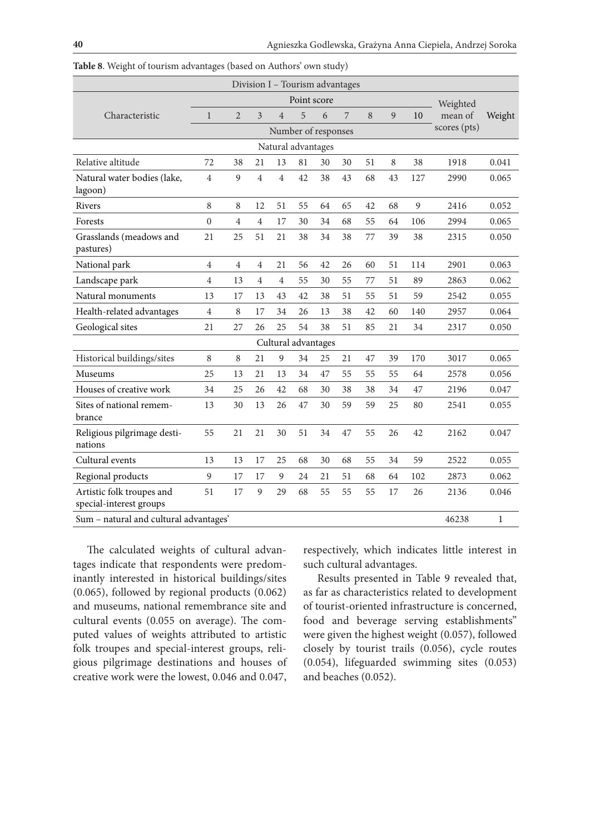| Division I - Tourism advantages                      |                |                |                |                |                     |    |    |    |         |     |              |             |
|------------------------------------------------------|----------------|----------------|----------------|----------------|---------------------|----|----|----|---------|-----|--------------|-------------|
|                                                      |                |                |                |                | Point score         |    |    |    |         |     | Weighted     |             |
| Characteristic                                       | $\mathbf{1}$   | $\overline{2}$ | 3              | $\overline{4}$ | 5                   | 6  | 7  | 8  | 9       | 10  | mean of      | Weight      |
|                                                      |                |                |                |                | Number of responses |    |    |    |         |     | scores (pts) |             |
| Natural advantages                                   |                |                |                |                |                     |    |    |    |         |     |              |             |
| Relative altitude                                    | 72             | 38             | 21             | 13             | 81                  | 30 | 30 | 51 | $\,8\,$ | 38  | 1918         | 0.041       |
| Natural water bodies (lake,<br>lagoon)               | $\overline{4}$ | 9              | $\overline{4}$ | 4              | 42                  | 38 | 43 | 68 | 43      | 127 | 2990         | 0.065       |
| <b>Rivers</b>                                        | 8              | 8              | 12             | 51             | 55                  | 64 | 65 | 42 | 68      | 9   | 2416         | 0.052       |
| Forests                                              | $\mathbf{0}$   | 4              | $\overline{4}$ | 17             | 30                  | 34 | 68 | 55 | 64      | 106 | 2994         | 0.065       |
| Grasslands (meadows and<br>pastures)                 | 21             | 25             | 51             | 21             | 38                  | 34 | 38 | 77 | 39      | 38  | 2315         | 0.050       |
| National park                                        | $\overline{4}$ | 4              | 4              | 21             | 56                  | 42 | 26 | 60 | 51      | 114 | 2901         | 0.063       |
| Landscape park                                       | $\overline{4}$ | 13             | $\overline{4}$ | $\overline{4}$ | 55                  | 30 | 55 | 77 | 51      | 89  | 2863         | 0.062       |
| Natural monuments                                    | 13             | 17             | 13             | 43             | 42                  | 38 | 51 | 55 | 51      | 59  | 2542         | 0.055       |
| Health-related advantages                            | $\overline{4}$ | 8              | 17             | 34             | 26                  | 13 | 38 | 42 | 60      | 140 | 2957         | 0.064       |
| Geological sites                                     | 21             | 27             | 26             | 25             | 54                  | 38 | 51 | 85 | 21      | 34  | 2317         | 0.050       |
|                                                      |                |                |                |                | Cultural advantages |    |    |    |         |     |              |             |
| Historical buildings/sites                           | 8              | 8              | 21             | 9              | 34                  | 25 | 21 | 47 | 39      | 170 | 3017         | 0.065       |
| Museums                                              | 25             | 13             | 21             | 13             | 34                  | 47 | 55 | 55 | 55      | 64  | 2578         | 0.056       |
| Houses of creative work                              | 34             | 25             | 26             | 42             | 68                  | 30 | 38 | 38 | 34      | 47  | 2196         | 0.047       |
| Sites of national remem-<br>brance                   | 13             | 30             | 13             | 26             | 47                  | 30 | 59 | 59 | 25      | 80  | 2541         | 0.055       |
| Religious pilgrimage desti-<br>nations               | 55             | 21             | 21             | 30             | 51                  | 34 | 47 | 55 | 26      | 42  | 2162         | 0.047       |
| Cultural events                                      | 13             | 13             | 17             | 25             | 68                  | 30 | 68 | 55 | 34      | 59  | 2522         | 0.055       |
| Regional products                                    | 9              | 17             | 17             | 9              | 24                  | 21 | 51 | 68 | 64      | 102 | 2873         | 0.062       |
| Artistic folk troupes and<br>special-interest groups | 51             | 17             | 9              | 29             | 68                  | 55 | 55 | 55 | 17      | 26  | 2136         | 0.046       |
| Sum - natural and cultural advantages'               |                |                |                |                |                     |    |    |    |         |     | 46238        | $\mathbf 1$ |

**Table 8**. Weight of tourism advantages (based on Authors' own study)

The calculated weights of cultural advantages indicate that respondents were predominantly interested in historical buildings/sites (0.065), followed by regional products (0.062) and museums, national remembrance site and cultural events (0.055 on average). The computed values of weights attributed to artistic folk troupes and special-interest groups, religious pilgrimage destinations and houses of creative work were the lowest, 0.046 and 0.047,

respectively, which indicates little interest in such cultural advantages.

Results presented in Table 9 revealed that, as far as characteristics related to development of tourist-oriented infrastructure is concerned, food and beverage serving establishments" were given the highest weight (0.057), followed closely by tourist trails (0.056), cycle routes (0.054), lifeguarded swimming sites (0.053) and beaches (0.052).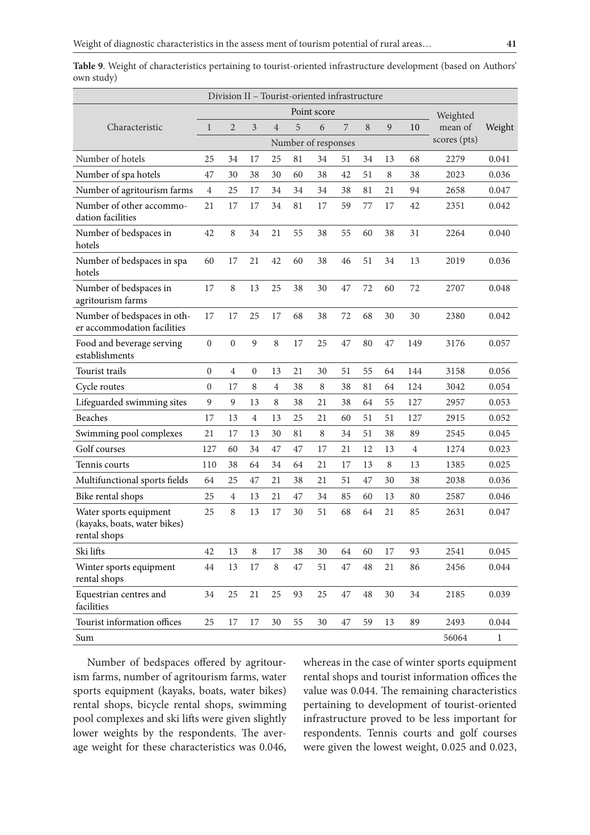|                                                                        |                  |                  |                |                |    | Division II - Tourist-oriented infrastructure |        |          |        |                |              |              |
|------------------------------------------------------------------------|------------------|------------------|----------------|----------------|----|-----------------------------------------------|--------|----------|--------|----------------|--------------|--------------|
|                                                                        | Point score      |                  |                |                |    |                                               |        |          |        |                | Weighted     |              |
| Characteristic                                                         | $\mathbf{1}$     | 2                | 3              | $\overline{4}$ | 5  | 6                                             | 7      | $\, 8$   | 9      | 10             | mean of      | Weight       |
|                                                                        |                  |                  |                |                |    | Number of responses                           |        |          |        |                | scores (pts) |              |
| Number of hotels                                                       | 25               | 34               | 17             | 25             | 81 | 34                                            | 51     | 34       | 13     | 68             | 2279         | 0.041        |
| Number of spa hotels                                                   | 47               | 30               | 38             | 30             | 60 | 38                                            | 42     | 51       | 8      | 38             | 2023         | 0.036        |
| Number of agritourism farms                                            | $\overline{4}$   | 25               | 17             | 34             | 34 | 34                                            | 38     | 81       | 21     | 94             | 2658         | 0.047        |
| Number of other accommo-<br>dation facilities                          | 21               | 17               | 17             | 34             | 81 | 17                                            | 59     | 77       | 17     | 42             | 2351         | 0.042        |
| Number of bedspaces in<br>hotels                                       | 42               | 8                | 34             | 21             | 55 | 38                                            | 55     | 60       | 38     | 31             | 2264         | 0.040        |
| Number of bedspaces in spa<br>hotels                                   | 60               | 17               | 21             | 42             | 60 | 38                                            | 46     | 51       | 34     | 13             | 2019         | 0.036        |
| Number of bedspaces in<br>agritourism farms                            | 17               | 8                | 13             | 25             | 38 | 30                                            | 47     | 72       | 60     | 72             | 2707         | 0.048        |
| Number of bedspaces in oth-<br>er accommodation facilities             | 17               | 17               | 25             | 17             | 68 | 38                                            | 72     | 68       | 30     | 30             | 2380         | 0.042        |
| Food and beverage serving<br>establishments                            | $\boldsymbol{0}$ | $\boldsymbol{0}$ | 9              | $\,8\,$        | 17 | 25                                            | 47     | 80       | 47     | 149            | 3176         | 0.057        |
| <b>Tourist trails</b>                                                  | $\boldsymbol{0}$ | $\overline{4}$   | $\mathbf{0}$   | 13             | 21 | 30                                            | 51     | 55       | 64     | 144            | 3158         | 0.056        |
| Cycle routes                                                           | $\boldsymbol{0}$ | 17               | 8              | $\overline{4}$ | 38 | 8                                             | 38     | 81       | 64     | 124            | 3042         | 0.054        |
| Lifeguarded swimming sites                                             | 9                | 9                | 13             | 8              | 38 | 21                                            | 38     | 64       | 55     | 127            | 2957         | 0.053        |
| <b>Beaches</b>                                                         | 17               | 13               | $\overline{4}$ | 13             | 25 | 21                                            | 60     | 51       | 51     | 127            | 2915         | 0.052        |
| Swimming pool complexes                                                | 21               | 17               | 13             | 30             | 81 | 8                                             | 34     | 51       | 38     | 89             | 2545         | 0.045        |
| Golf courses                                                           | 127              | 60               | 34             | 47             | 47 | 17                                            | 21     | 12       | 13     | $\overline{4}$ | 1274         | 0.023        |
| Tennis courts                                                          | 110              | 38               | 64             | 34             | 64 | 21                                            | 17     | 13       | 8      | 13             | 1385         | 0.025        |
| Multifunctional sports fields                                          | 64               | 25               | 47             | 21             | 38 | 21                                            | 51     | 47       | 30     | 38             | 2038         | 0.036        |
| Bike rental shops                                                      | 25               | 4                | 13             | 21             | 47 | 34                                            | 85     | 60       | 13     | 80             | 2587         | 0.046        |
| Water sports equipment<br>(kayaks, boats, water bikes)<br>rental shops | 25               | 8                | 13             | 17             | 30 | 51                                            | 68     | 64       | 21     | 85             | 2631         | 0.047        |
| Ski lifts                                                              | 42               | 13               | $\,8\,$        | 17             | 38 | 30                                            | 64     | 60       | 17     | 93             | 2541         | 0.045        |
| Winter sports equipment<br>rental shops                                | $\rm 44$         | 13               | 17             | $\, 8$         | 47 | 51                                            | $47\,$ | $\rm 48$ | 21     | 86             | 2456         | 0.044        |
| Equestrian centres and<br>facilities                                   | 34               | $25\,$           | 21             | 25             | 93 | 25                                            | $47\,$ | $48\,$   | $30\,$ | 34             | 2185         | 0.039        |
| Tourist information offices                                            | 25               | 17               | 17             | 30             | 55 | 30                                            | 47     | 59       | 13     | 89             | 2493         | 0.044        |
| Sum                                                                    |                  |                  |                |                |    |                                               |        |          |        |                | 56064        | $\mathbf{1}$ |

**Table 9**. Weight of characteristics pertaining to tourist-oriented infrastructure development (based on Authors' own study)

Number of bedspaces offered by agritourism farms, number of agritourism farms, water sports equipment (kayaks, boats, water bikes) rental shops, bicycle rental shops, swimming pool complexes and ski lifts were given slightly lower weights by the respondents. The average weight for these characteristics was 0.046, whereas in the case of winter sports equipment rental shops and tourist information offices the value was 0.044. The remaining characteristics pertaining to development of tourist-oriented infrastructure proved to be less important for respondents. Tennis courts and golf courses were given the lowest weight, 0.025 and 0.023,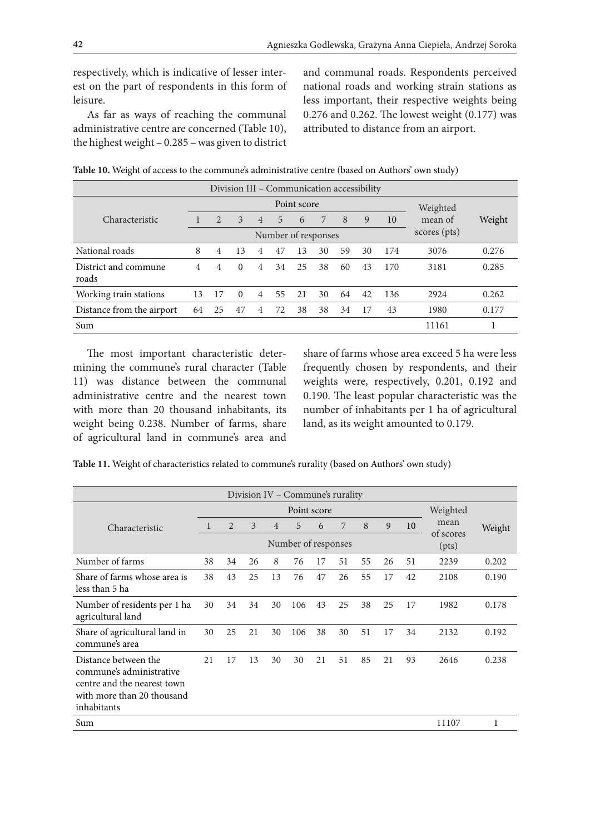respectively, which is indicative of lesser interest on the part of respondents in this form of leisure.

As far as ways of reaching the communal administrative centre are concerned (Table 10), the highest weight – 0.285 – was given to district and communal roads. Respondents perceived national roads and working strain stations as less important, their respective weights being 0.276 and 0.262. The lowest weight (0.177) was attributed to distance from an airport.

| Division III - Communication accessibility |                                     |                |          |                |    |          |    |    |    |     |         |        |
|--------------------------------------------|-------------------------------------|----------------|----------|----------------|----|----------|----|----|----|-----|---------|--------|
|                                            |                                     |                |          |                |    | Weighted |    |    |    |     |         |        |
| Characteristic                             |                                     | 2              | 3        | $\overline{4}$ | 5  | 6        | 7  | 8  | 9  | 10  | mean of | Weight |
|                                            | scores (pts)<br>Number of responses |                |          |                |    |          |    |    |    |     |         |        |
| National roads                             | 8                                   | $\overline{4}$ | 13       | 4              | 47 | 13       | 30 | 59 | 30 | 174 | 3076    | 0.276  |
| District and commune<br>roads              | 4                                   | 4              | $\Omega$ | 4              | 34 | 25       | 38 | 60 | 43 | 170 | 3181    | 0.285  |
| Working train stations                     | 13                                  | 17             | $\theta$ | $\overline{4}$ | 55 | 21       | 30 | 64 | 42 | 136 | 2924    | 0.262  |
| Distance from the airport                  | 64                                  | 25             | 47       | 4              | 72 | 38       | 38 | 34 | 17 | 43  | 1980    | 0.177  |
| Sum                                        |                                     |                |          |                |    |          |    |    |    |     | 11161   |        |

**Table 10.** Weight of access to the commune's administrative centre (based on Authors' own study)

The most important characteristic determining the commune's rural character (Table 11) was distance between the communal administrative centre and the nearest town with more than 20 thousand inhabitants, its weight being 0.238. Number of farms, share of agricultural land in commune's area and share of farms whose area exceed 5 ha were less frequently chosen by respondents, and their weights were, respectively, 0.201, 0.192 and 0.190. The least popular characteristic was the number of inhabitants per 1 ha of agricultural land, as its weight amounted to 0.179.

| Table 11. Weight of characteristics related to commune's rurality (based on Authors' own study) |  |  |
|-------------------------------------------------------------------------------------------------|--|--|
|-------------------------------------------------------------------------------------------------|--|--|

| Division IV - Commune's rurality                                                                                             |    |    |    |                |                     |    |    |          |    |    |       |           |  |  |  |
|------------------------------------------------------------------------------------------------------------------------------|----|----|----|----------------|---------------------|----|----|----------|----|----|-------|-----------|--|--|--|
| Point score                                                                                                                  |    |    |    |                |                     |    |    | Weighted |    |    |       |           |  |  |  |
| Characteristic                                                                                                               | 1  | 2  | 3  | $\overline{4}$ | 5                   | 6  | 7  | 8        | 9  | 10 | mean  | Weight    |  |  |  |
|                                                                                                                              |    |    |    |                | Number of responses |    |    |          |    |    | (pts) | of scores |  |  |  |
| Number of farms                                                                                                              | 38 | 34 | 26 | 8              | 76                  | 17 | 51 | 55       | 26 | 51 | 2239  | 0.202     |  |  |  |
| Share of farms whose area is<br>less than 5 ha                                                                               | 38 | 43 | 25 | 13             | 76                  | 47 | 26 | 55       | 17 | 42 | 2108  | 0.190     |  |  |  |
| Number of residents per 1 ha<br>agricultural land                                                                            | 30 | 34 | 34 | 30             | 106                 | 43 | 25 | 38       | 25 | 17 | 1982  | 0.178     |  |  |  |
| Share of agricultural land in<br>commune's area                                                                              | 30 | 25 | 21 | 30             | 106                 | 38 | 30 | 51       | 17 | 34 | 2132  | 0.192     |  |  |  |
| Distance between the<br>commune's administrative<br>centre and the nearest town<br>with more than 20 thousand<br>inhabitants | 21 | 17 | 13 | 30             | 30                  | 21 | 51 | 85       | 21 | 93 | 2646  | 0.238     |  |  |  |
| Sum                                                                                                                          |    |    |    |                |                     |    |    |          |    |    | 11107 | 1         |  |  |  |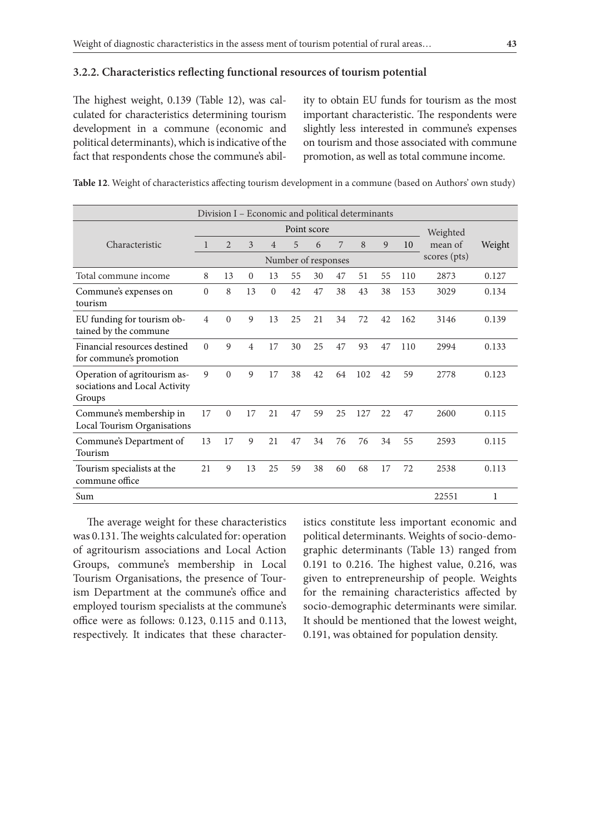#### **3.2.2. Characteristics reflecting functional resources of tourism potential**

The highest weight, 0.139 (Table 12), was calculated for characteristics determining tourism development in a commune (economic and political determinants), which is indicative of the fact that respondents chose the commune's ability to obtain EU funds for tourism as the most important characteristic. The respondents were slightly less interested in commune's expenses on tourism and those associated with commune promotion, as well as total commune income.

**Table 12**. Weight of characteristics affecting tourism development in a commune (based on Authors' own study)

| Division I - Economic and political determinants                        |              |                |              |                |                     |     |    |          |     |     |              |        |
|-------------------------------------------------------------------------|--------------|----------------|--------------|----------------|---------------------|-----|----|----------|-----|-----|--------------|--------|
| Point score                                                             |              |                |              |                |                     |     |    | Weighted |     |     |              |        |
| Characteristic                                                          | 1            | $\overline{2}$ | 3            | $\overline{4}$ | 5                   | 6   | 7  | 8        | 9   | 10  | mean of      | Weight |
|                                                                         |              |                |              |                | Number of responses |     |    |          |     |     | scores (pts) |        |
| Total commune income                                                    | 8            | 13             | $\mathbf{0}$ | 13             | 55                  | 30  | 47 | 51       | 55  | 110 | 2873         | 0.127  |
| Commune's expenses on<br>tourism                                        | $\mathbf{0}$ | 8              | 13           | $\overline{0}$ | 42                  | 47  | 38 | 43       | 38  | 153 | 3029         | 0.134  |
| EU funding for tourism ob-<br>tained by the commune                     | 4            | $\theta$       | 9            | 13             | 25                  | 2.1 | 34 | 72       | 42  | 162 | 3146         | 0.139  |
| Financial resources destined<br>for commune's promotion                 | $\theta$     | 9              | 4            | 17             | 30                  | 25  | 47 | 93       | 47  | 110 | 2994         | 0.133  |
| Operation of agritourism as-<br>sociations and Local Activity<br>Groups | 9            | $\Omega$       | 9            | 17             | 38                  | 42  | 64 | 102      | 42. | 59  | 2778         | 0.123  |
| Commune's membership in<br>Local Tourism Organisations                  | 17           | $\overline{0}$ | 17           | 21             | 47                  | 59  | 25 | 127      | 22  | 47  | 2600         | 0.115  |
| Commune's Department of<br>Tourism                                      | 13           | 17             | 9            | 21             | 47                  | 34  | 76 | 76       | 34  | 55  | 2593         | 0.115  |
| Tourism specialists at the<br>commune office                            | 21           | 9              | 13           | 25             | 59                  | 38  | 60 | 68       | 17  | 72  | 2538         | 0.113  |
| Sum                                                                     |              |                |              |                |                     |     |    |          |     |     | 22551        | 1      |

The average weight for these characteristics was 0.131. The weights calculated for: operation of agritourism associations and Local Action Groups, commune's membership in Local Tourism Organisations, the presence of Tourism Department at the commune's office and employed tourism specialists at the commune's office were as follows: 0.123, 0.115 and 0.113, respectively. It indicates that these character-

istics constitute less important economic and political determinants. Weights of socio-demographic determinants (Table 13) ranged from 0.191 to 0.216. The highest value, 0.216, was given to entrepreneurship of people. Weights for the remaining characteristics affected by socio-demographic determinants were similar. It should be mentioned that the lowest weight, 0.191, was obtained for population density.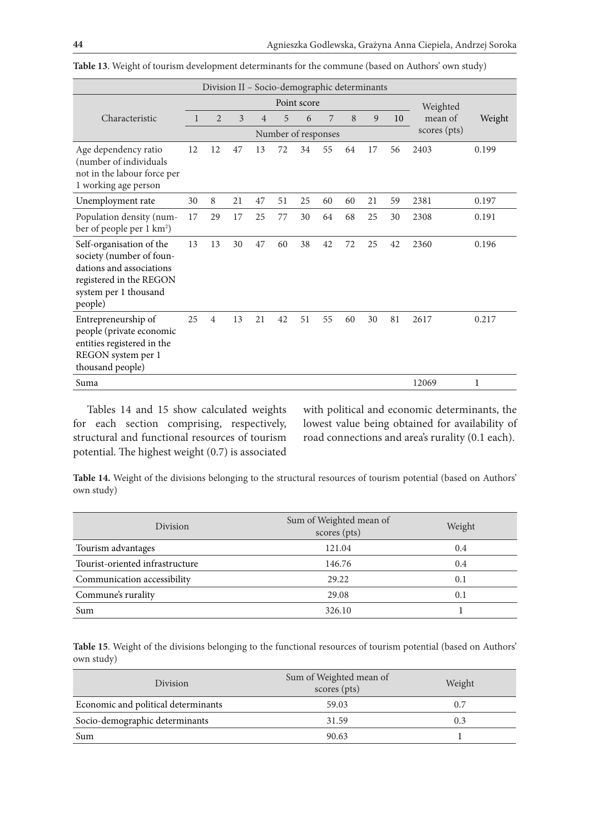| Division II - Socio-demographic determinants                                                                                                    |                         |                |    |    |    |    |    |    |    |    |              |        |  |  |
|-------------------------------------------------------------------------------------------------------------------------------------------------|-------------------------|----------------|----|----|----|----|----|----|----|----|--------------|--------|--|--|
|                                                                                                                                                 | Point score<br>Weighted |                |    |    |    |    |    |    |    |    |              |        |  |  |
| Characteristic                                                                                                                                  |                         | $\overline{2}$ | 3  | 4  | 5  | 6  | 7  | 8  | 9  | 10 | mean of      | Weight |  |  |
|                                                                                                                                                 | Number of responses     |                |    |    |    |    |    |    |    |    | scores (pts) |        |  |  |
| Age dependency ratio<br>(number of individuals<br>not in the labour force per<br>1 working age person                                           | 12                      | 12             | 47 | 13 | 72 | 34 | 55 | 64 | 17 | 56 | 2403         | 0.199  |  |  |
| Unemployment rate                                                                                                                               | 30                      | 8              | 21 | 47 | 51 | 25 | 60 | 60 | 21 | 59 | 2381         | 0.197  |  |  |
| Population density (num-<br>ber of people per 1 km <sup>2</sup> )                                                                               | 17                      | 29             | 17 | 25 | 77 | 30 | 64 | 68 | 25 | 30 | 2308         | 0.191  |  |  |
| Self-organisation of the<br>society (number of foun-<br>dations and associations<br>registered in the REGON<br>system per 1 thousand<br>people) | 13                      | 13             | 30 | 47 | 60 | 38 | 42 | 72 | 25 | 42 | 2360         | 0.196  |  |  |
| Entrepreneurship of<br>people (private economic<br>entities registered in the<br>REGON system per 1<br>thousand people)                         | 25                      | $\overline{4}$ | 13 | 21 | 42 | 51 | 55 | 60 | 30 | 81 | 2617         | 0.217  |  |  |
| Suma                                                                                                                                            |                         |                |    |    |    |    |    |    |    |    | 12069        | 1      |  |  |

**Table 13**. Weight of tourism development determinants for the commune (based on Authors' own study)

Tables 14 and 15 show calculated weights for each section comprising, respectively, structural and functional resources of tourism potential. The highest weight (0.7) is associated with political and economic determinants, the lowest value being obtained for availability of road connections and area's rurality (0.1 each).

**Table 14.** Weight of the divisions belonging to the structural resources of tourism potential (based on Authors' own study)

| <b>Division</b>                 | Sum of Weighted mean of<br>scores (pts) | Weight |
|---------------------------------|-----------------------------------------|--------|
| Tourism advantages              | 121.04                                  | 0.4    |
| Tourist-oriented infrastructure | 146.76                                  | 0.4    |
| Communication accessibility     | 29.22                                   | 0.1    |
| Commune's rurality              | 29.08                                   | 0.1    |
| Sum                             | 326.10                                  |        |

**Table 15**. Weight of the divisions belonging to the functional resources of tourism potential (based on Authors' own study)

| <b>Division</b>                     | Sum of Weighted mean of<br>scores (pts) | Weight |
|-------------------------------------|-----------------------------------------|--------|
| Economic and political determinants | 59.03                                   | 0.7    |
| Socio-demographic determinants      | 31.59                                   | 0.3    |
| Sum                                 | 90.63                                   |        |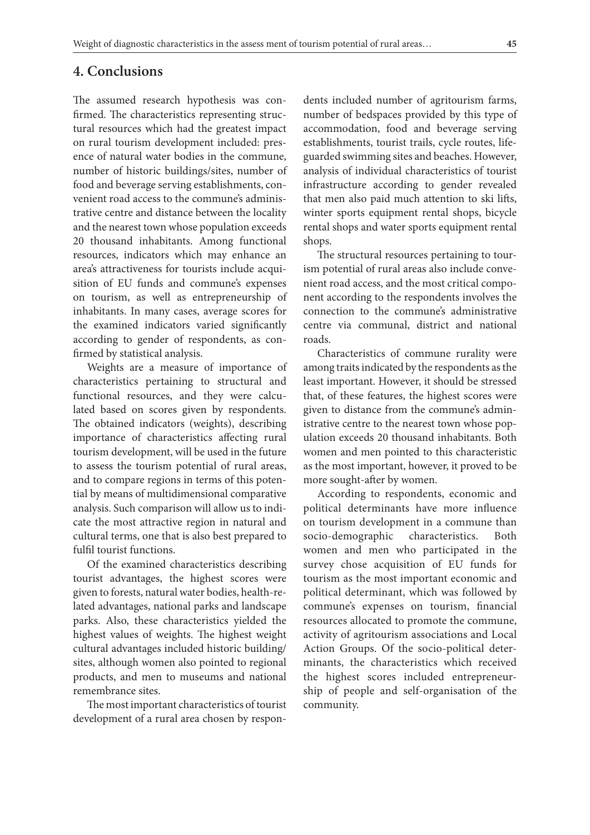### **4. Conclusions**

The assumed research hypothesis was confirmed. The characteristics representing structural resources which had the greatest impact on rural tourism development included: presence of natural water bodies in the commune, number of historic buildings/sites, number of food and beverage serving establishments, convenient road access to the commune's administrative centre and distance between the locality and the nearest town whose population exceeds 20 thousand inhabitants. Among functional resources, indicators which may enhance an area's attractiveness for tourists include acquisition of EU funds and commune's expenses on tourism, as well as entrepreneurship of inhabitants. In many cases, average scores for the examined indicators varied significantly according to gender of respondents, as confirmed by statistical analysis.

Weights are a measure of importance of characteristics pertaining to structural and functional resources, and they were calculated based on scores given by respondents. The obtained indicators (weights), describing importance of characteristics affecting rural tourism development, will be used in the future to assess the tourism potential of rural areas, and to compare regions in terms of this potential by means of multidimensional comparative analysis. Such comparison will allow us to indicate the most attractive region in natural and cultural terms, one that is also best prepared to fulfil tourist functions.

Of the examined characteristics describing tourist advantages, the highest scores were given to forests, natural water bodies, health-related advantages, national parks and landscape parks. Also, these characteristics yielded the highest values of weights. The highest weight cultural advantages included historic building/ sites, although women also pointed to regional products, and men to museums and national remembrance sites.

The most important characteristics of tourist development of a rural area chosen by respondents included number of agritourism farms, number of bedspaces provided by this type of accommodation, food and beverage serving establishments, tourist trails, cycle routes, lifeguarded swimming sites and beaches. However, analysis of individual characteristics of tourist infrastructure according to gender revealed that men also paid much attention to ski lifts, winter sports equipment rental shops, bicycle rental shops and water sports equipment rental shops.

The structural resources pertaining to tourism potential of rural areas also include convenient road access, and the most critical component according to the respondents involves the connection to the commune's administrative centre via communal, district and national roads.

Characteristics of commune rurality were among traits indicated by the respondents as the least important. However, it should be stressed that, of these features, the highest scores were given to distance from the commune's administrative centre to the nearest town whose population exceeds 20 thousand inhabitants. Both women and men pointed to this characteristic as the most important, however, it proved to be more sought-after by women.

According to respondents, economic and political determinants have more influence on tourism development in a commune than socio-demographic characteristics. Both women and men who participated in the survey chose acquisition of EU funds for tourism as the most important economic and political determinant, which was followed by commune's expenses on tourism, financial resources allocated to promote the commune, activity of agritourism associations and Local Action Groups. Of the socio-political determinants, the characteristics which received the highest scores included entrepreneurship of people and self-organisation of the community.